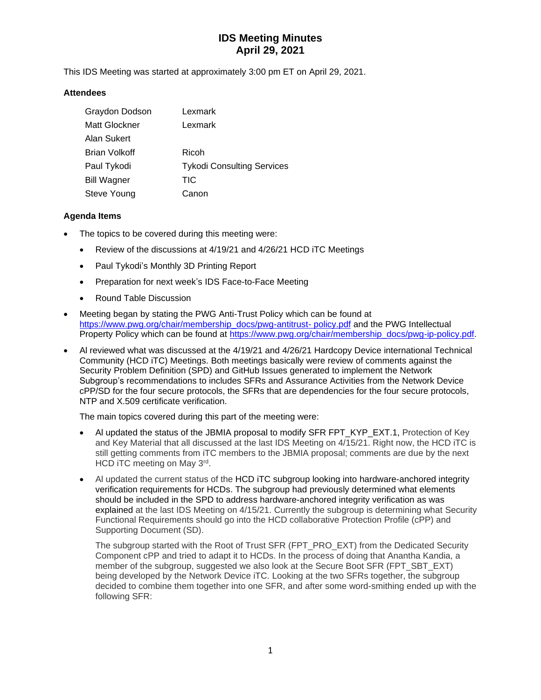# **IDS Meeting Minutes April 29, 2021**

This IDS Meeting was started at approximately 3:00 pm ET on April 29, 2021.

### **Attendees**

| Graydon Dodson     | Lexmark                           |
|--------------------|-----------------------------------|
| Matt Glockner      | Lexmark                           |
| Alan Sukert        |                                   |
| Brian Volkoff      | Ricoh                             |
| Paul Tykodi        | <b>Tykodi Consulting Services</b> |
| <b>Bill Wagner</b> | <b>TIC</b>                        |
| Steve Young        | Canon                             |

### **Agenda Items**

- The topics to be covered during this meeting were:
	- Review of the discussions at 4/19/21 and 4/26/21 HCD iTC Meetings
	- Paul Tykodi's Monthly 3D Printing Report
	- Preparation for next week's IDS Face-to-Face Meeting
	- Round Table Discussion
- Meeting began by stating the PWG Anti-Trust Policy which can be found at [https://www.pwg.org/chair/membership\\_docs/pwg-antitrust-](https://www.pwg.org/chair/membership_docs/pwg-antitrust-%20policy.pdf) policy.pdf and the PWG Intellectual Property Policy which can be found at [https://www.pwg.org/chair/membership\\_docs/pwg-ip-policy.pdf.](https://www.pwg.org/chair/membership_docs/pwg-ip-policy.pdf)
- Al reviewed what was discussed at the 4/19/21 and 4/26/21 Hardcopy Device international Technical Community (HCD iTC) Meetings. Both meetings basically were review of comments against the Security Problem Definition (SPD) and GitHub Issues generated to implement the Network Subgroup's recommendations to includes SFRs and Assurance Activities from the Network Device cPP/SD for the four secure protocols, the SFRs that are dependencies for the four secure protocols, NTP and X.509 certificate verification.

The main topics covered during this part of the meeting were:

- Al updated the status of the JBMIA proposal to modify SFR FPT\_KYP\_EXT.1, Protection of Key and Key Material that all discussed at the last IDS Meeting on 4/15/21. Right now, the HCD iTC is still getting comments from iTC members to the JBMIA proposal; comments are due by the next HCD iTC meeting on May 3rd.
- Al updated the current status of the HCD iTC subgroup looking into hardware-anchored integrity verification requirements for HCDs. The subgroup had previously determined what elements should be included in the SPD to address hardware-anchored integrity verification as was explained at the last IDS Meeting on 4/15/21. Currently the subgroup is determining what Security Functional Requirements should go into the HCD collaborative Protection Profile (cPP) and Supporting Document (SD).

The subgroup started with the Root of Trust SFR (FPT\_PRO\_EXT) from the Dedicated Security Component cPP and tried to adapt it to HCDs. In the process of doing that Anantha Kandia, a member of the subgroup, suggested we also look at the Secure Boot SFR (FPT\_SBT\_EXT) being developed by the Network Device iTC. Looking at the two SFRs together, the subgroup decided to combine them together into one SFR, and after some word-smithing ended up with the following SFR: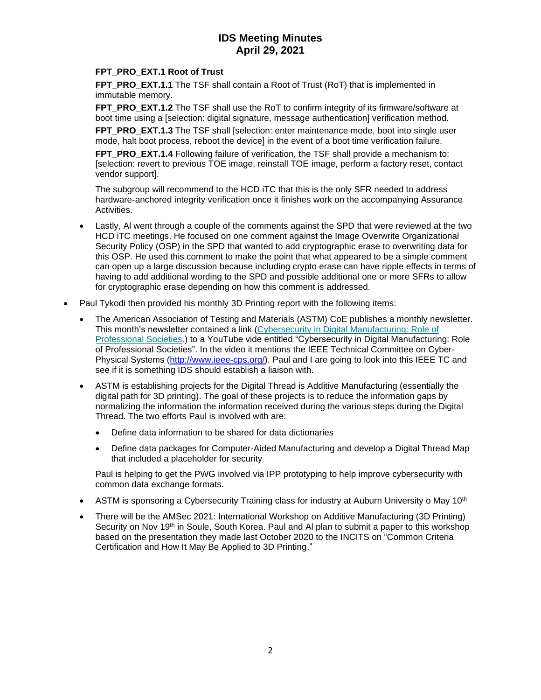## **IDS Meeting Minutes April 29, 2021**

## **FPT\_PRO\_EXT.1 Root of Trust**

**FPT\_PRO\_EXT.1.1** The TSF shall contain a Root of Trust (RoT) that is implemented in immutable memory.

**FPT\_PRO\_EXT.1.2** The TSF shall use the RoT to confirm integrity of its firmware/software at boot time using a [selection: digital signature, message authentication] verification method.

**FPT\_PRO\_EXT.1.3** The TSF shall [selection: enter maintenance mode, boot into single user mode, halt boot process, reboot the device] in the event of a boot time verification failure.

FPT PRO\_EXT.1.4 Following failure of verification, the TSF shall provide a mechanism to: [selection: revert to previous TOE image, reinstall TOE image, perform a factory reset, contact vendor support].

The subgroup will recommend to the HCD iTC that this is the only SFR needed to address hardware-anchored integrity verification once it finishes work on the accompanying Assurance Activities.

- Lastly, Al went through a couple of the comments against the SPD that were reviewed at the two HCD iTC meetings. He focused on one comment against the Image Overwrite Organizational Security Policy (OSP) in the SPD that wanted to add cryptographic erase to overwriting data for this OSP. He used this comment to make the point that what appeared to be a simple comment can open up a large discussion because including crypto erase can have ripple effects in terms of having to add additional wording to the SPD and possible additional one or more SFRs to allow for cryptographic erase depending on how this comment is addressed.
- Paul Tykodi then provided his monthly 3D Printing report with the following items:
	- The American Association of Testing and Materials (ASTM) CoE publishes a monthly newsletter. This month's newsletter contained a link [\(Cybersecurity in Digital Manufacturing: Role of](https://amcoe.us19.list-manage.com/track/click?u=a90132494deed240c3fc3fd2c&id=a98bde6189&e=2b44b811ef)  [Professional Societies.](https://amcoe.us19.list-manage.com/track/click?u=a90132494deed240c3fc3fd2c&id=a98bde6189&e=2b44b811ef)) to a YouTube vide entitled "Cybersecurity in Digital Manufacturing: Role of Professional Societies". In the video it mentions the IEEE Technical Committee on Cyber-Physical Systems [\(http://www.ieee-cps.org/\)](http://www.ieee-cps.org/). Paul and I are going to look into this IEEE TC and see if it is something IDS should establish a liaison with.
	- ASTM is establishing projects for the Digital Thread is Additive Manufacturing (essentially the digital path for 3D printing). The goal of these projects is to reduce the information gaps by normalizing the information the information received during the various steps during the Digital Thread. The two efforts Paul is involved with are:
		- Define data information to be shared for data dictionaries
		- Define data packages for Computer-Aided Manufacturing and develop a Digital Thread Map that included a placeholder for security

Paul is helping to get the PWG involved via IPP prototyping to help improve cybersecurity with common data exchange formats.

- ASTM is sponsoring a Cybersecurity Training class for industry at Auburn University o May 10<sup>th</sup>
- There will be the AMSec 2021: International Workshop on Additive Manufacturing (3D Printing) Security on Nov 19<sup>th</sup> in Soule, South Korea. Paul and Al plan to submit a paper to this workshop based on the presentation they made last October 2020 to the INCITS on "Common Criteria Certification and How It May Be Applied to 3D Printing."